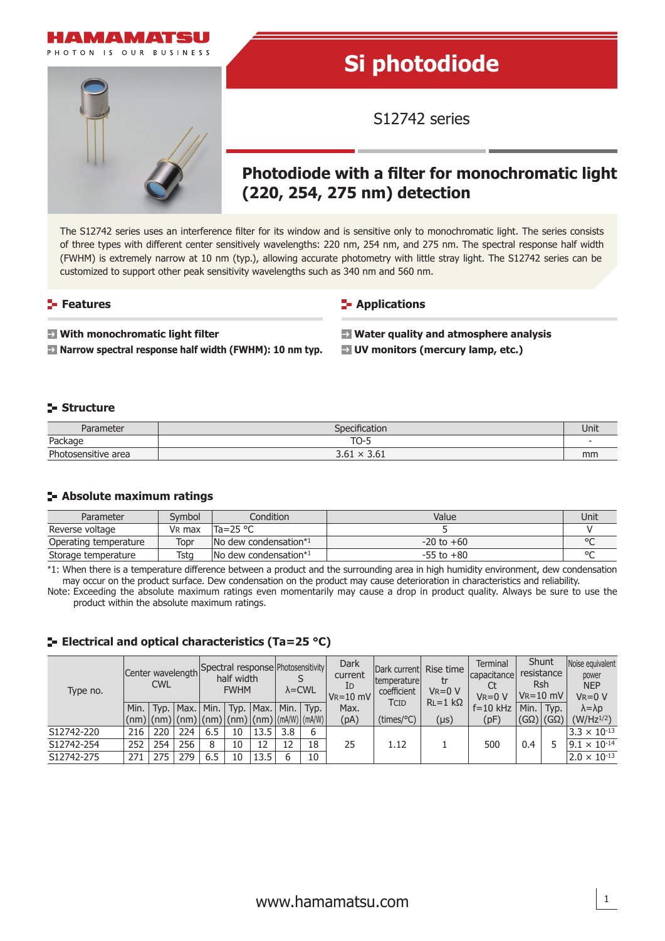

The S12742 series uses an interference filter for its window and is sensitive only to monochromatic light. The series consists of three types with different center sensitively wavelengths: 220 nm, 254 nm, and 275 nm. The spectral response half width (FWHM) is extremely narrow at 10 nm (typ.), allowing accurate photometry with little stray light. The S12742 series can be customized to support other peak sensitivity wavelengths such as 340 nm and 560 nm.

### **Features**

**Applications** 

 **With monochromatic light filter**

**Narrow spectral response half width (FWHM): 10 nm typ.**

**Water quality and atmosphere analysis UV monitors (mercury lamp, etc.)**

## **Structure**

| Daramatar<br>1112121     | ication                                | Unit |
|--------------------------|----------------------------------------|------|
| <b>Dockpan</b><br>acnayt | $\mathbf{r}$<br>◡<br>٠                 |      |
| Photosensitive area      | 2c1<br>2c1<br>$\lambda$<br><b>J.UI</b> | mm   |

#### **Absolute maximum ratings**

| Parameter             | Svmbol             | Condition                               | Value          | Unit |
|-----------------------|--------------------|-----------------------------------------|----------------|------|
| Reverse voltage       | V <sub>R</sub> max | 'Ta=25 °C                               |                |      |
| Operating temperature | Topr               | $\blacksquare$ No dew condensation* $1$ | $-20$ to $+60$ |      |
| Storage temperature   | Tstg               | $\sqrt{N}$ dew condensation*1           | $-55$ to $+80$ |      |

\*1: When there is a temperature difference between a product and the surrounding area in high humidity environment, dew condensation may occur on the product surface. Dew condensation on the product may cause deterioration in characteristics and reliability.

Note: Exceeding the absolute maximum ratings even momentarily may cause a drop in product quality. Always be sure to use the product within the absolute maximum ratings.

## **ELECTRIE 25 °C) ELECTRICAL CONTRIGUATE:**

| Type no.   | <b>CWL</b> |     |               | Center wavelength Spectral response Photosensitivity<br>half width<br><b>FWHM</b>                                   |    |                      | $\lambda$ = CWL |      | Dark<br>current<br>ID<br>$V_R = 10$ mV | Dark current Rise time<br> temperature <br>coefficient | tr<br>$V_R = 0 V$ | Terminal<br>capacitance<br>$V_R = 0 V$ | Shunt<br>resistance<br>Rsh<br>$V_R = 10$ mV |                           | Noise equivalent<br>power<br><b>NEP</b><br>$VR = 0 V$ |
|------------|------------|-----|---------------|---------------------------------------------------------------------------------------------------------------------|----|----------------------|-----------------|------|----------------------------------------|--------------------------------------------------------|-------------------|----------------------------------------|---------------------------------------------|---------------------------|-------------------------------------------------------|
|            | Min.       |     | $Typ.$   Max. |                                                                                                                     |    | Min.   Typ. $ Max. $ | Min.            | Typ. | Max.                                   | TCID                                                   | $RL=1$ kΩ         | $f = 10$ kHz                           | Min.                                        | 'Typ.                     | $\lambda = \lambda p$                                 |
|            |            |     |               | $\vert$ (nm) $\vert$ (nm) $\vert$ (nm) $\vert$ (nm) $\vert$ (nm) $\vert$ (nm) $\vert$ (mA/W) $\vert$ (mA/W) $\vert$ |    |                      |                 |      | (pA)                                   | (times/°C)                                             | $(\mu s)$         | (pF)                                   |                                             | $(G\Omega)$ (G $\Omega$ ) | $(W/Hz^{1/2})$                                        |
| S12742-220 | 216        | 220 | 224           | 6.5                                                                                                                 | 10 | 13.5                 | 3.8             | 6    |                                        |                                                        |                   |                                        |                                             |                           | $3.3 \times 10^{-13}$                                 |
| S12742-254 | 252        | 254 | 256           | 8                                                                                                                   | 10 | 12                   |                 | 18   | 25                                     | 1.12                                                   |                   | 500                                    | 0.4                                         |                           | $9.1 \times 10^{-14}$                                 |
| S12742-275 | 271        | 275 | 279           | 6.5                                                                                                                 | 10 | 13.5                 | h               | 10   |                                        |                                                        |                   |                                        |                                             |                           | $2.0 \times 10^{-13}$                                 |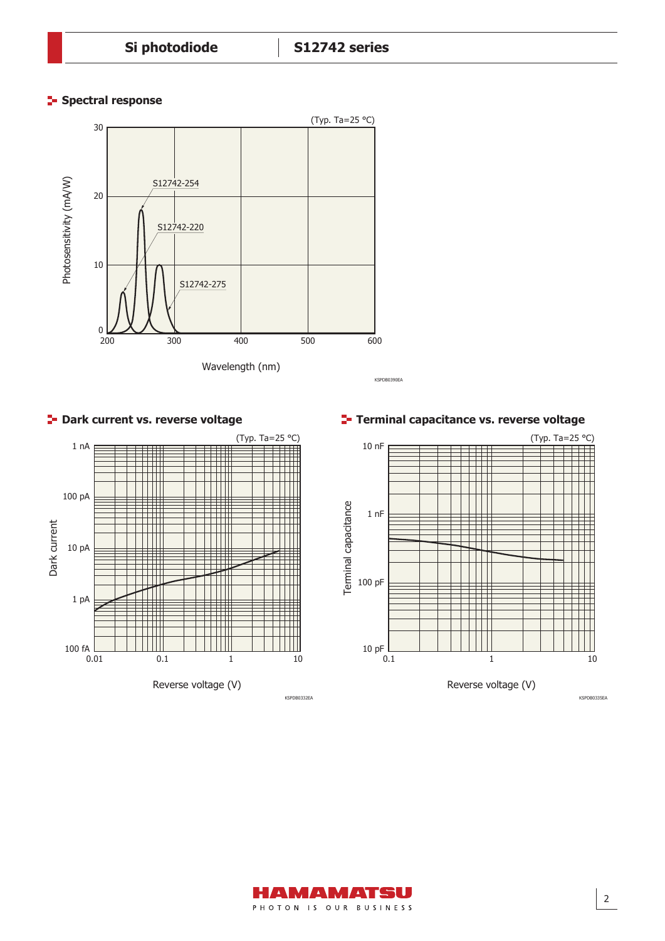# **Spectral response**











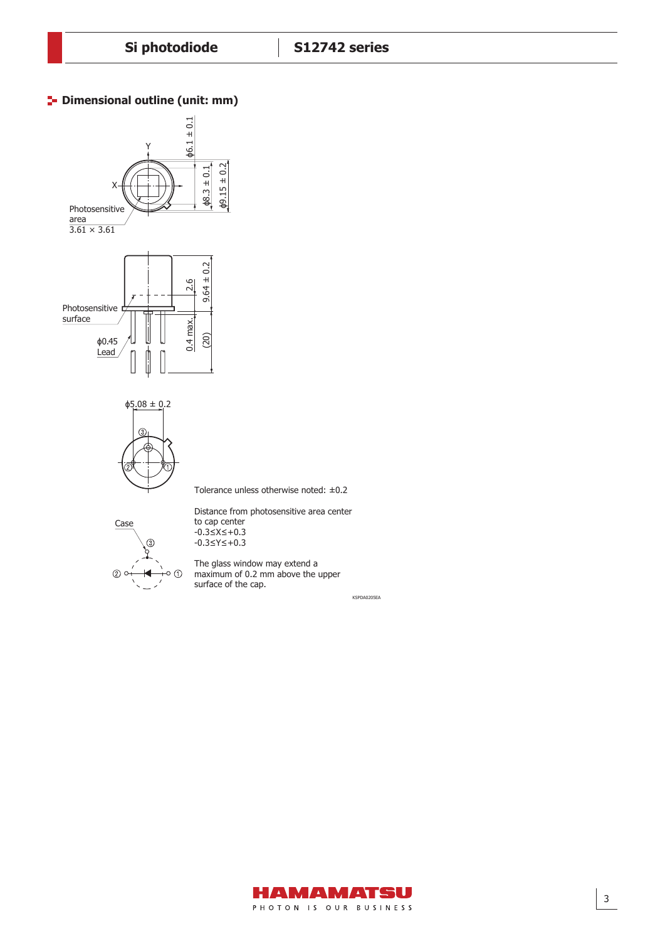### **P** Dimensional outline (unit: mm)





Tolerance unless otherwise noted: ±0.2



Distance from photosensitive area center to cap center -0.3≤X≤+0.3 -0.3≤Y≤+0.3

The glass window may extend a maximum of 0.2 mm above the upper surface of the cap.

KSPDA0205EA